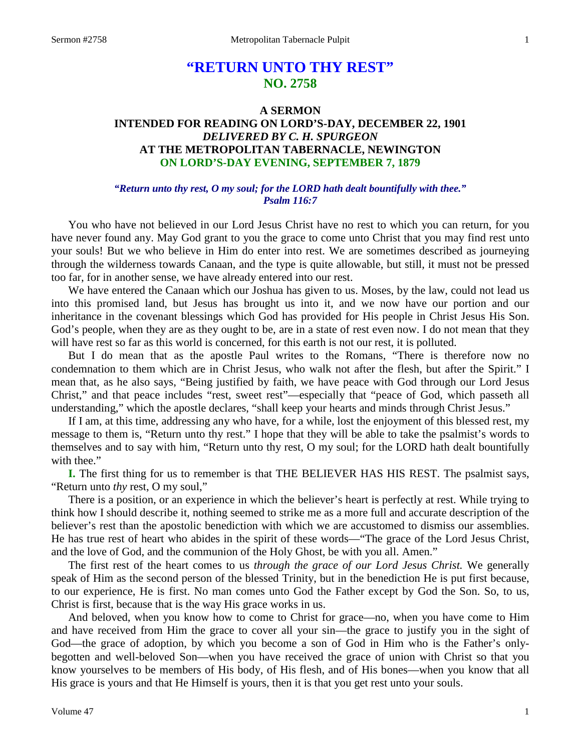# **"RETURN UNTO THY REST" NO. 2758**

# **A SERMON INTENDED FOR READING ON LORD'S-DAY, DECEMBER 22, 1901** *DELIVERED BY C. H. SPURGEON* **AT THE METROPOLITAN TABERNACLE, NEWINGTON ON LORD'S-DAY EVENING, SEPTEMBER 7, 1879**

### *"Return unto thy rest, O my soul; for the LORD hath dealt bountifully with thee." Psalm 116:7*

You who have not believed in our Lord Jesus Christ have no rest to which you can return, for you have never found any. May God grant to you the grace to come unto Christ that you may find rest unto your souls! But we who believe in Him do enter into rest. We are sometimes described as journeying through the wilderness towards Canaan, and the type is quite allowable, but still, it must not be pressed too far, for in another sense, we have already entered into our rest.

We have entered the Canaan which our Joshua has given to us. Moses, by the law, could not lead us into this promised land, but Jesus has brought us into it, and we now have our portion and our inheritance in the covenant blessings which God has provided for His people in Christ Jesus His Son. God's people, when they are as they ought to be, are in a state of rest even now. I do not mean that they will have rest so far as this world is concerned, for this earth is not our rest, it is polluted.

But I do mean that as the apostle Paul writes to the Romans, "There is therefore now no condemnation to them which are in Christ Jesus, who walk not after the flesh, but after the Spirit." I mean that, as he also says, "Being justified by faith, we have peace with God through our Lord Jesus Christ," and that peace includes "rest, sweet rest"—especially that "peace of God, which passeth all understanding," which the apostle declares, "shall keep your hearts and minds through Christ Jesus."

If I am, at this time, addressing any who have, for a while, lost the enjoyment of this blessed rest, my message to them is, "Return unto thy rest." I hope that they will be able to take the psalmist's words to themselves and to say with him, "Return unto thy rest, O my soul; for the LORD hath dealt bountifully with thee."

**I.** The first thing for us to remember is that THE BELIEVER HAS HIS REST. The psalmist says, "Return unto *thy* rest, O my soul,"

There is a position, or an experience in which the believer's heart is perfectly at rest. While trying to think how I should describe it, nothing seemed to strike me as a more full and accurate description of the believer's rest than the apostolic benediction with which we are accustomed to dismiss our assemblies. He has true rest of heart who abides in the spirit of these words—"The grace of the Lord Jesus Christ, and the love of God, and the communion of the Holy Ghost, be with you all. Amen."

The first rest of the heart comes to us *through the grace of our Lord Jesus Christ.* We generally speak of Him as the second person of the blessed Trinity, but in the benediction He is put first because, to our experience, He is first. No man comes unto God the Father except by God the Son. So, to us, Christ is first, because that is the way His grace works in us.

And beloved, when you know how to come to Christ for grace—no, when you have come to Him and have received from Him the grace to cover all your sin—the grace to justify you in the sight of God—the grace of adoption, by which you become a son of God in Him who is the Father's onlybegotten and well-beloved Son—when you have received the grace of union with Christ so that you know yourselves to be members of His body, of His flesh, and of His bones—when you know that all His grace is yours and that He Himself is yours, then it is that you get rest unto your souls.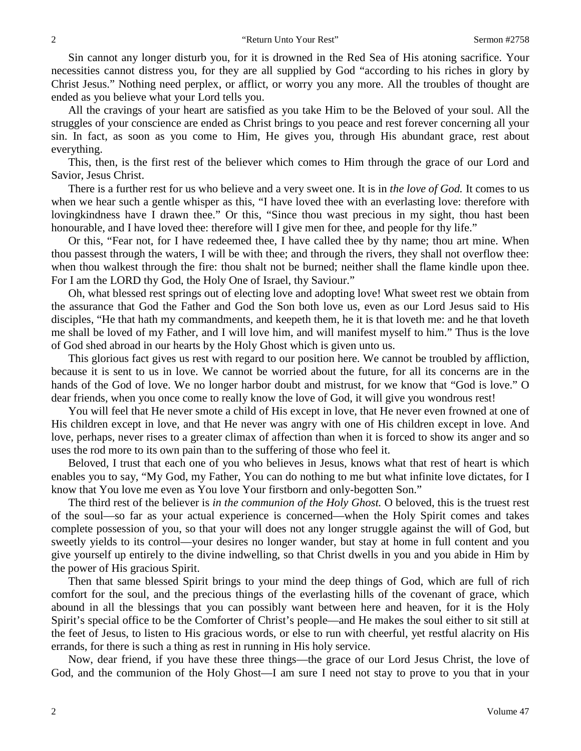Sin cannot any longer disturb you, for it is drowned in the Red Sea of His atoning sacrifice. Your necessities cannot distress you, for they are all supplied by God "according to his riches in glory by Christ Jesus." Nothing need perplex, or afflict, or worry you any more. All the troubles of thought are ended as you believe what your Lord tells you.

All the cravings of your heart are satisfied as you take Him to be the Beloved of your soul. All the struggles of your conscience are ended as Christ brings to you peace and rest forever concerning all your sin. In fact, as soon as you come to Him, He gives you, through His abundant grace, rest about everything.

This, then, is the first rest of the believer which comes to Him through the grace of our Lord and Savior, Jesus Christ.

There is a further rest for us who believe and a very sweet one. It is in *the love of God.* It comes to us when we hear such a gentle whisper as this, "I have loved thee with an everlasting love: therefore with lovingkindness have I drawn thee." Or this, "Since thou wast precious in my sight, thou hast been honourable, and I have loved thee: therefore will I give men for thee, and people for thy life."

Or this, "Fear not, for I have redeemed thee, I have called thee by thy name; thou art mine. When thou passest through the waters, I will be with thee; and through the rivers, they shall not overflow thee: when thou walkest through the fire: thou shalt not be burned; neither shall the flame kindle upon thee. For I am the LORD thy God, the Holy One of Israel, thy Saviour."

Oh, what blessed rest springs out of electing love and adopting love! What sweet rest we obtain from the assurance that God the Father and God the Son both love us, even as our Lord Jesus said to His disciples, "He that hath my commandments, and keepeth them, he it is that loveth me: and he that loveth me shall be loved of my Father, and I will love him, and will manifest myself to him." Thus is the love of God shed abroad in our hearts by the Holy Ghost which is given unto us.

This glorious fact gives us rest with regard to our position here. We cannot be troubled by affliction, because it is sent to us in love. We cannot be worried about the future, for all its concerns are in the hands of the God of love. We no longer harbor doubt and mistrust, for we know that "God is love." O dear friends, when you once come to really know the love of God, it will give you wondrous rest!

You will feel that He never smote a child of His except in love, that He never even frowned at one of His children except in love, and that He never was angry with one of His children except in love. And love, perhaps, never rises to a greater climax of affection than when it is forced to show its anger and so uses the rod more to its own pain than to the suffering of those who feel it.

Beloved, I trust that each one of you who believes in Jesus, knows what that rest of heart is which enables you to say, "My God, my Father, You can do nothing to me but what infinite love dictates, for I know that You love me even as You love Your firstborn and only-begotten Son."

The third rest of the believer is *in the communion of the Holy Ghost.* O beloved, this is the truest rest of the soul—so far as your actual experience is concerned—when the Holy Spirit comes and takes complete possession of you, so that your will does not any longer struggle against the will of God, but sweetly yields to its control—your desires no longer wander, but stay at home in full content and you give yourself up entirely to the divine indwelling, so that Christ dwells in you and you abide in Him by the power of His gracious Spirit.

Then that same blessed Spirit brings to your mind the deep things of God, which are full of rich comfort for the soul, and the precious things of the everlasting hills of the covenant of grace, which abound in all the blessings that you can possibly want between here and heaven, for it is the Holy Spirit's special office to be the Comforter of Christ's people—and He makes the soul either to sit still at the feet of Jesus, to listen to His gracious words, or else to run with cheerful, yet restful alacrity on His errands, for there is such a thing as rest in running in His holy service.

Now, dear friend, if you have these three things—the grace of our Lord Jesus Christ, the love of God, and the communion of the Holy Ghost—I am sure I need not stay to prove to you that in your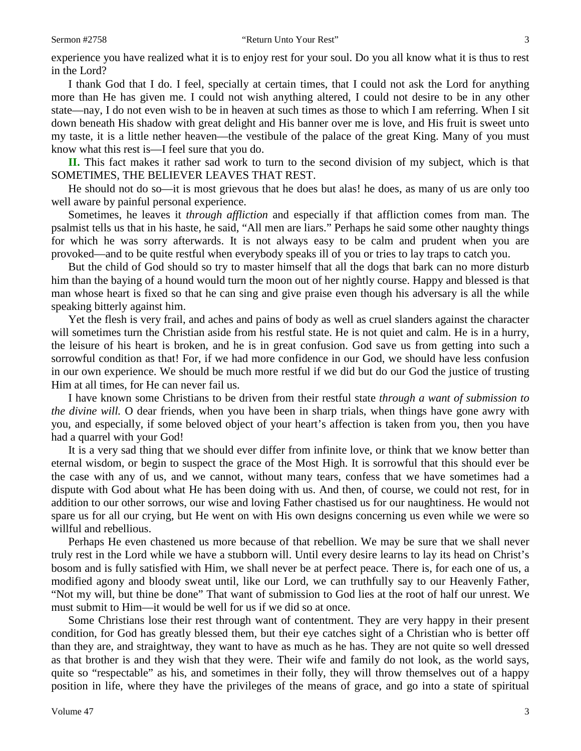experience you have realized what it is to enjoy rest for your soul. Do you all know what it is thus to rest in the Lord?

I thank God that I do. I feel, specially at certain times, that I could not ask the Lord for anything more than He has given me. I could not wish anything altered, I could not desire to be in any other state—nay, I do not even wish to be in heaven at such times as those to which I am referring. When I sit down beneath His shadow with great delight and His banner over me is love, and His fruit is sweet unto my taste, it is a little nether heaven—the vestibule of the palace of the great King. Many of you must know what this rest is—I feel sure that you do.

**II.** This fact makes it rather sad work to turn to the second division of my subject, which is that SOMETIMES, THE BELIEVER LEAVES THAT REST.

He should not do so—it is most grievous that he does but alas! he does, as many of us are only too well aware by painful personal experience.

Sometimes, he leaves it *through affliction* and especially if that affliction comes from man. The psalmist tells us that in his haste, he said, "All men are liars." Perhaps he said some other naughty things for which he was sorry afterwards. It is not always easy to be calm and prudent when you are provoked—and to be quite restful when everybody speaks ill of you or tries to lay traps to catch you.

But the child of God should so try to master himself that all the dogs that bark can no more disturb him than the baying of a hound would turn the moon out of her nightly course. Happy and blessed is that man whose heart is fixed so that he can sing and give praise even though his adversary is all the while speaking bitterly against him.

Yet the flesh is very frail, and aches and pains of body as well as cruel slanders against the character will sometimes turn the Christian aside from his restful state. He is not quiet and calm. He is in a hurry, the leisure of his heart is broken, and he is in great confusion. God save us from getting into such a sorrowful condition as that! For, if we had more confidence in our God, we should have less confusion in our own experience. We should be much more restful if we did but do our God the justice of trusting Him at all times, for He can never fail us.

I have known some Christians to be driven from their restful state *through a want of submission to the divine will.* O dear friends, when you have been in sharp trials, when things have gone awry with you, and especially, if some beloved object of your heart's affection is taken from you, then you have had a quarrel with your God!

It is a very sad thing that we should ever differ from infinite love, or think that we know better than eternal wisdom, or begin to suspect the grace of the Most High. It is sorrowful that this should ever be the case with any of us, and we cannot, without many tears, confess that we have sometimes had a dispute with God about what He has been doing with us. And then, of course, we could not rest, for in addition to our other sorrows, our wise and loving Father chastised us for our naughtiness. He would not spare us for all our crying, but He went on with His own designs concerning us even while we were so willful and rebellious.

Perhaps He even chastened us more because of that rebellion. We may be sure that we shall never truly rest in the Lord while we have a stubborn will. Until every desire learns to lay its head on Christ's bosom and is fully satisfied with Him, we shall never be at perfect peace. There is, for each one of us, a modified agony and bloody sweat until, like our Lord, we can truthfully say to our Heavenly Father, "Not my will, but thine be done" That want of submission to God lies at the root of half our unrest. We must submit to Him—it would be well for us if we did so at once.

Some Christians lose their rest through want of contentment. They are very happy in their present condition, for God has greatly blessed them, but their eye catches sight of a Christian who is better off than they are, and straightway, they want to have as much as he has. They are not quite so well dressed as that brother is and they wish that they were. Their wife and family do not look, as the world says, quite so "respectable" as his, and sometimes in their folly, they will throw themselves out of a happy position in life, where they have the privileges of the means of grace, and go into a state of spiritual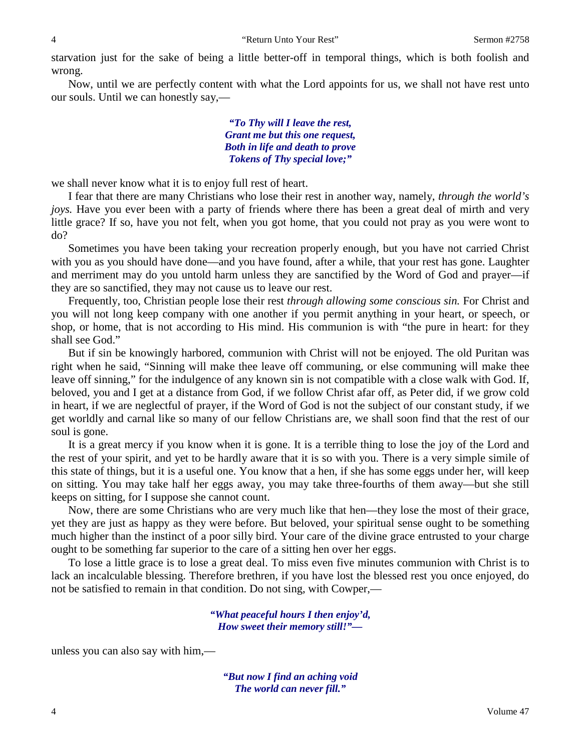starvation just for the sake of being a little better-off in temporal things, which is both foolish and wrong.

Now, until we are perfectly content with what the Lord appoints for us, we shall not have rest unto our souls. Until we can honestly say,—

> *"To Thy will I leave the rest, Grant me but this one request, Both in life and death to prove Tokens of Thy special love;"*

we shall never know what it is to enjoy full rest of heart.

I fear that there are many Christians who lose their rest in another way, namely, *through the world's joys.* Have you ever been with a party of friends where there has been a great deal of mirth and very little grace? If so, have you not felt, when you got home, that you could not pray as you were wont to do?

Sometimes you have been taking your recreation properly enough, but you have not carried Christ with you as you should have done—and you have found, after a while, that your rest has gone. Laughter and merriment may do you untold harm unless they are sanctified by the Word of God and prayer—if they are so sanctified, they may not cause us to leave our rest.

Frequently, too, Christian people lose their rest *through allowing some conscious sin.* For Christ and you will not long keep company with one another if you permit anything in your heart, or speech, or shop, or home, that is not according to His mind. His communion is with "the pure in heart: for they shall see God."

But if sin be knowingly harbored, communion with Christ will not be enjoyed. The old Puritan was right when he said, "Sinning will make thee leave off communing, or else communing will make thee leave off sinning," for the indulgence of any known sin is not compatible with a close walk with God. If, beloved, you and I get at a distance from God, if we follow Christ afar off, as Peter did, if we grow cold in heart, if we are neglectful of prayer, if the Word of God is not the subject of our constant study, if we get worldly and carnal like so many of our fellow Christians are, we shall soon find that the rest of our soul is gone.

It is a great mercy if you know when it is gone. It is a terrible thing to lose the joy of the Lord and the rest of your spirit, and yet to be hardly aware that it is so with you. There is a very simple simile of this state of things, but it is a useful one. You know that a hen, if she has some eggs under her, will keep on sitting. You may take half her eggs away, you may take three-fourths of them away—but she still keeps on sitting, for I suppose she cannot count.

Now, there are some Christians who are very much like that hen—they lose the most of their grace, yet they are just as happy as they were before. But beloved, your spiritual sense ought to be something much higher than the instinct of a poor silly bird. Your care of the divine grace entrusted to your charge ought to be something far superior to the care of a sitting hen over her eggs.

To lose a little grace is to lose a great deal. To miss even five minutes communion with Christ is to lack an incalculable blessing. Therefore brethren, if you have lost the blessed rest you once enjoyed, do not be satisfied to remain in that condition. Do not sing, with Cowper,—

> *"What peaceful hours I then enjoy'd, How sweet their memory still!"—*

unless you can also say with him,—

*"But now I find an aching void The world can never fill."*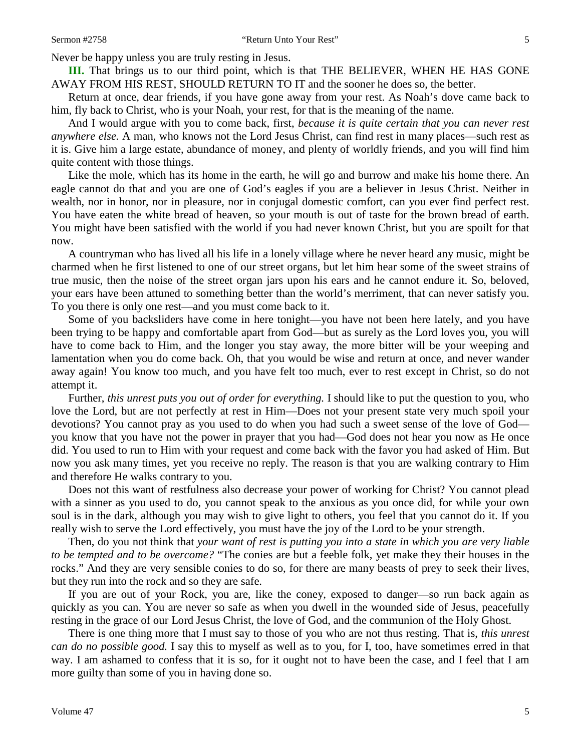Never be happy unless you are truly resting in Jesus.

**III.** That brings us to our third point, which is that THE BELIEVER, WHEN HE HAS GONE AWAY FROM HIS REST, SHOULD RETURN TO IT and the sooner he does so, the better.

Return at once, dear friends, if you have gone away from your rest. As Noah's dove came back to him, fly back to Christ, who is your Noah, your rest, for that is the meaning of the name.

And I would argue with you to come back, first, *because it is quite certain that you can never rest anywhere else.* A man, who knows not the Lord Jesus Christ, can find rest in many places—such rest as it is. Give him a large estate, abundance of money, and plenty of worldly friends, and you will find him quite content with those things.

Like the mole, which has its home in the earth, he will go and burrow and make his home there. An eagle cannot do that and you are one of God's eagles if you are a believer in Jesus Christ. Neither in wealth, nor in honor, nor in pleasure, nor in conjugal domestic comfort, can you ever find perfect rest. You have eaten the white bread of heaven, so your mouth is out of taste for the brown bread of earth. You might have been satisfied with the world if you had never known Christ, but you are spoilt for that now.

A countryman who has lived all his life in a lonely village where he never heard any music, might be charmed when he first listened to one of our street organs, but let him hear some of the sweet strains of true music, then the noise of the street organ jars upon his ears and he cannot endure it. So, beloved, your ears have been attuned to something better than the world's merriment, that can never satisfy you. To you there is only one rest—and you must come back to it.

Some of you backsliders have come in here tonight—you have not been here lately, and you have been trying to be happy and comfortable apart from God—but as surely as the Lord loves you, you will have to come back to Him, and the longer you stay away, the more bitter will be your weeping and lamentation when you do come back. Oh, that you would be wise and return at once, and never wander away again! You know too much, and you have felt too much, ever to rest except in Christ, so do not attempt it.

Further, *this unrest puts you out of order for everything.* I should like to put the question to you, who love the Lord, but are not perfectly at rest in Him—Does not your present state very much spoil your devotions? You cannot pray as you used to do when you had such a sweet sense of the love of God you know that you have not the power in prayer that you had—God does not hear you now as He once did. You used to run to Him with your request and come back with the favor you had asked of Him. But now you ask many times, yet you receive no reply. The reason is that you are walking contrary to Him and therefore He walks contrary to you.

Does not this want of restfulness also decrease your power of working for Christ? You cannot plead with a sinner as you used to do, you cannot speak to the anxious as you once did, for while your own soul is in the dark, although you may wish to give light to others, you feel that you cannot do it. If you really wish to serve the Lord effectively, you must have the joy of the Lord to be your strength.

Then, do you not think that *your want of rest is putting you into a state in which you are very liable to be tempted and to be overcome?* "The conies are but a feeble folk, yet make they their houses in the rocks." And they are very sensible conies to do so, for there are many beasts of prey to seek their lives, but they run into the rock and so they are safe.

If you are out of your Rock, you are, like the coney, exposed to danger—so run back again as quickly as you can. You are never so safe as when you dwell in the wounded side of Jesus, peacefully resting in the grace of our Lord Jesus Christ, the love of God, and the communion of the Holy Ghost.

There is one thing more that I must say to those of you who are not thus resting. That is, *this unrest can do no possible good.* I say this to myself as well as to you, for I, too, have sometimes erred in that way. I am ashamed to confess that it is so, for it ought not to have been the case, and I feel that I am more guilty than some of you in having done so.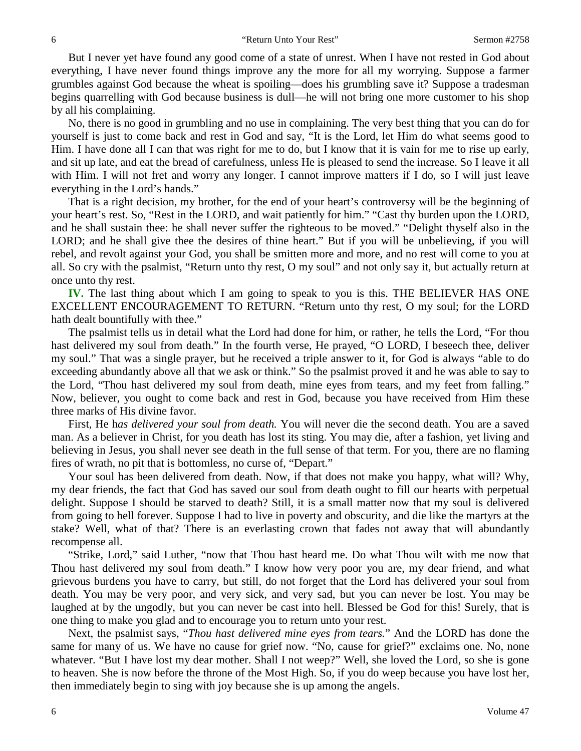But I never yet have found any good come of a state of unrest. When I have not rested in God about everything, I have never found things improve any the more for all my worrying. Suppose a farmer grumbles against God because the wheat is spoiling—does his grumbling save it? Suppose a tradesman begins quarrelling with God because business is dull—he will not bring one more customer to his shop by all his complaining.

No, there is no good in grumbling and no use in complaining. The very best thing that you can do for yourself is just to come back and rest in God and say, "It is the Lord, let Him do what seems good to Him. I have done all I can that was right for me to do, but I know that it is vain for me to rise up early, and sit up late, and eat the bread of carefulness, unless He is pleased to send the increase. So I leave it all with Him. I will not fret and worry any longer. I cannot improve matters if I do, so I will just leave everything in the Lord's hands."

That is a right decision, my brother, for the end of your heart's controversy will be the beginning of your heart's rest. So, "Rest in the LORD, and wait patiently for him." "Cast thy burden upon the LORD, and he shall sustain thee: he shall never suffer the righteous to be moved." "Delight thyself also in the LORD; and he shall give thee the desires of thine heart." But if you will be unbelieving, if you will rebel, and revolt against your God, you shall be smitten more and more, and no rest will come to you at all. So cry with the psalmist, "Return unto thy rest, O my soul" and not only say it, but actually return at once unto thy rest.

**IV.** The last thing about which I am going to speak to you is this. THE BELIEVER HAS ONE EXCELLENT ENCOURAGEMENT TO RETURN. "Return unto thy rest, O my soul; for the LORD hath dealt bountifully with thee."

The psalmist tells us in detail what the Lord had done for him, or rather, he tells the Lord, "For thou hast delivered my soul from death." In the fourth verse, He prayed, "O LORD, I beseech thee, deliver my soul." That was a single prayer, but he received a triple answer to it, for God is always "able to do exceeding abundantly above all that we ask or think." So the psalmist proved it and he was able to say to the Lord, "Thou hast delivered my soul from death, mine eyes from tears, and my feet from falling." Now, believer, you ought to come back and rest in God, because you have received from Him these three marks of His divine favor.

First, He h*as delivered your soul from death.* You will never die the second death. You are a saved man. As a believer in Christ, for you death has lost its sting. You may die, after a fashion, yet living and believing in Jesus, you shall never see death in the full sense of that term. For you, there are no flaming fires of wrath, no pit that is bottomless, no curse of, "Depart."

Your soul has been delivered from death. Now, if that does not make you happy, what will? Why, my dear friends, the fact that God has saved our soul from death ought to fill our hearts with perpetual delight. Suppose I should be starved to death? Still, it is a small matter now that my soul is delivered from going to hell forever. Suppose I had to live in poverty and obscurity, and die like the martyrs at the stake? Well, what of that? There is an everlasting crown that fades not away that will abundantly recompense all.

"Strike, Lord," said Luther, "now that Thou hast heard me. Do what Thou wilt with me now that Thou hast delivered my soul from death." I know how very poor you are, my dear friend, and what grievous burdens you have to carry, but still, do not forget that the Lord has delivered your soul from death. You may be very poor, and very sick, and very sad, but you can never be lost. You may be laughed at by the ungodly, but you can never be cast into hell. Blessed be God for this! Surely, that is one thing to make you glad and to encourage you to return unto your rest.

Next, the psalmist says, "*Thou hast delivered mine eyes from tears.*" And the LORD has done the same for many of us. We have no cause for grief now. "No, cause for grief?" exclaims one. No, none whatever. "But I have lost my dear mother. Shall I not weep?" Well, she loved the Lord, so she is gone to heaven. She is now before the throne of the Most High. So, if you do weep because you have lost her, then immediately begin to sing with joy because she is up among the angels.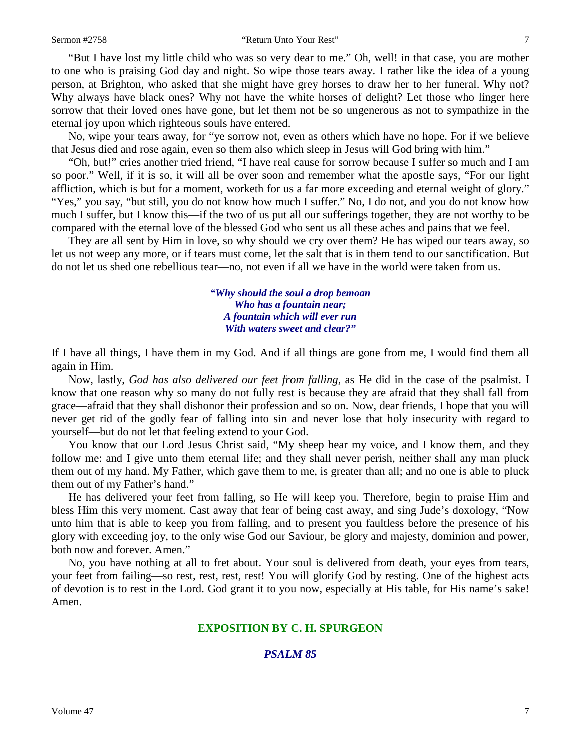"But I have lost my little child who was so very dear to me." Oh, well! in that case, you are mother to one who is praising God day and night. So wipe those tears away. I rather like the idea of a young person, at Brighton, who asked that she might have grey horses to draw her to her funeral. Why not? Why always have black ones? Why not have the white horses of delight? Let those who linger here sorrow that their loved ones have gone, but let them not be so ungenerous as not to sympathize in the eternal joy upon which righteous souls have entered.

No, wipe your tears away, for "ye sorrow not, even as others which have no hope. For if we believe that Jesus died and rose again, even so them also which sleep in Jesus will God bring with him."

"Oh, but!" cries another tried friend, "I have real cause for sorrow because I suffer so much and I am so poor." Well, if it is so, it will all be over soon and remember what the apostle says, "For our light affliction, which is but for a moment, worketh for us a far more exceeding and eternal weight of glory." "Yes," you say, "but still, you do not know how much I suffer." No, I do not, and you do not know how much I suffer, but I know this—if the two of us put all our sufferings together, they are not worthy to be compared with the eternal love of the blessed God who sent us all these aches and pains that we feel.

They are all sent by Him in love, so why should we cry over them? He has wiped our tears away, so let us not weep any more, or if tears must come, let the salt that is in them tend to our sanctification. But do not let us shed one rebellious tear—no, not even if all we have in the world were taken from us.

> *"Why should the soul a drop bemoan Who has a fountain near; A fountain which will ever run With waters sweet and clear?"*

If I have all things, I have them in my God. And if all things are gone from me, I would find them all again in Him.

Now, lastly, *God has also delivered our feet from falling*, as He did in the case of the psalmist. I know that one reason why so many do not fully rest is because they are afraid that they shall fall from grace—afraid that they shall dishonor their profession and so on. Now, dear friends, I hope that you will never get rid of the godly fear of falling into sin and never lose that holy insecurity with regard to yourself—but do not let that feeling extend to your God.

You know that our Lord Jesus Christ said, "My sheep hear my voice, and I know them, and they follow me: and I give unto them eternal life; and they shall never perish, neither shall any man pluck them out of my hand. My Father, which gave them to me, is greater than all; and no one is able to pluck them out of my Father's hand."

He has delivered your feet from falling, so He will keep you. Therefore, begin to praise Him and bless Him this very moment. Cast away that fear of being cast away, and sing Jude's doxology, "Now unto him that is able to keep you from falling, and to present you faultless before the presence of his glory with exceeding joy, to the only wise God our Saviour, be glory and majesty, dominion and power, both now and forever. Amen."

No, you have nothing at all to fret about. Your soul is delivered from death, your eyes from tears, your feet from failing—so rest, rest, rest, rest! You will glorify God by resting. One of the highest acts of devotion is to rest in the Lord. God grant it to you now, especially at His table, for His name's sake! Amen.

#### **EXPOSITION BY C. H. SPURGEON**

#### *PSALM 85*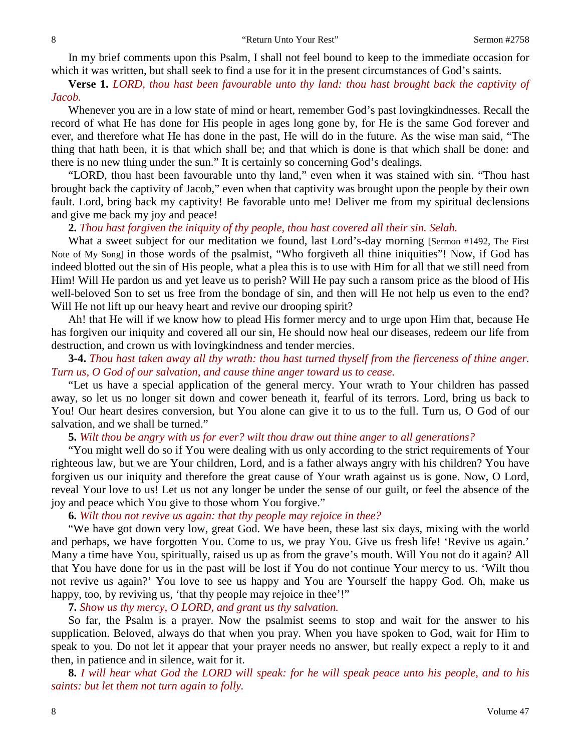In my brief comments upon this Psalm, I shall not feel bound to keep to the immediate occasion for which it was written, but shall seek to find a use for it in the present circumstances of God's saints.

**Verse 1.** *LORD, thou hast been favourable unto thy land: thou hast brought back the captivity of Jacob.*

Whenever you are in a low state of mind or heart, remember God's past lovingkindnesses. Recall the record of what He has done for His people in ages long gone by, for He is the same God forever and ever, and therefore what He has done in the past, He will do in the future. As the wise man said, "The thing that hath been, it is that which shall be; and that which is done is that which shall be done: and there is no new thing under the sun." It is certainly so concerning God's dealings.

"LORD, thou hast been favourable unto thy land," even when it was stained with sin. "Thou hast brought back the captivity of Jacob," even when that captivity was brought upon the people by their own fault. Lord, bring back my captivity! Be favorable unto me! Deliver me from my spiritual declensions and give me back my joy and peace!

#### **2.** *Thou hast forgiven the iniquity of thy people, thou hast covered all their sin. Selah.*

What a sweet subject for our meditation we found, last Lord's-day morning [Sermon #1492, The First Note of My Song] in those words of the psalmist, "Who forgiveth all thine iniquities"! Now, if God has indeed blotted out the sin of His people, what a plea this is to use with Him for all that we still need from Him! Will He pardon us and yet leave us to perish? Will He pay such a ransom price as the blood of His well-beloved Son to set us free from the bondage of sin, and then will He not help us even to the end? Will He not lift up our heavy heart and revive our drooping spirit?

Ah! that He will if we know how to plead His former mercy and to urge upon Him that, because He has forgiven our iniquity and covered all our sin, He should now heal our diseases, redeem our life from destruction, and crown us with lovingkindness and tender mercies.

# **3-4.** *Thou hast taken away all thy wrath: thou hast turned thyself from the fierceness of thine anger. Turn us, O God of our salvation, and cause thine anger toward us to cease.*

"Let us have a special application of the general mercy. Your wrath to Your children has passed away, so let us no longer sit down and cower beneath it, fearful of its terrors. Lord, bring us back to You! Our heart desires conversion, but You alone can give it to us to the full. Turn us, O God of our salvation, and we shall be turned."

**5.** *Wilt thou be angry with us for ever? wilt thou draw out thine anger to all generations?*

"You might well do so if You were dealing with us only according to the strict requirements of Your righteous law, but we are Your children, Lord, and is a father always angry with his children? You have forgiven us our iniquity and therefore the great cause of Your wrath against us is gone. Now, O Lord, reveal Your love to us! Let us not any longer be under the sense of our guilt, or feel the absence of the joy and peace which You give to those whom You forgive."

#### **6.** *Wilt thou not revive us again: that thy people may rejoice in thee?*

"We have got down very low, great God. We have been, these last six days, mixing with the world and perhaps, we have forgotten You. Come to us, we pray You. Give us fresh life! 'Revive us again.' Many a time have You, spiritually, raised us up as from the grave's mouth. Will You not do it again? All that You have done for us in the past will be lost if You do not continue Your mercy to us. 'Wilt thou not revive us again?' You love to see us happy and You are Yourself the happy God. Oh, make us happy, too, by reviving us, 'that thy people may rejoice in thee'!"

**7.** *Show us thy mercy, O LORD, and grant us thy salvation.* 

So far, the Psalm is a prayer. Now the psalmist seems to stop and wait for the answer to his supplication. Beloved, always do that when you pray. When you have spoken to God, wait for Him to speak to you. Do not let it appear that your prayer needs no answer, but really expect a reply to it and then, in patience and in silence, wait for it.

**8.** *I will hear what God the LORD will speak: for he will speak peace unto his people, and to his saints: but let them not turn again to folly.*